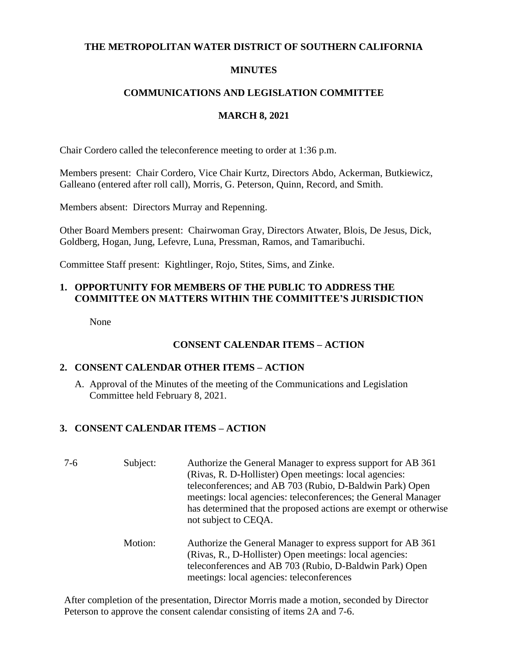#### **THE METROPOLITAN WATER DISTRICT OF SOUTHERN CALIFORNIA**

## **MINUTES**

## **COMMUNICATIONS AND LEGISLATION COMMITTEE**

## **MARCH 8, 2021**

Chair Cordero called the teleconference meeting to order at 1:36 p.m.

Members present: Chair Cordero, Vice Chair Kurtz, Directors Abdo, Ackerman, Butkiewicz, Galleano (entered after roll call), Morris, G. Peterson, Quinn, Record, and Smith.

Members absent: Directors Murray and Repenning.

Other Board Members present: Chairwoman Gray, Directors Atwater, Blois, De Jesus, Dick, Goldberg, Hogan, Jung, Lefevre, Luna, Pressman, Ramos, and Tamaribuchi.

Committee Staff present: Kightlinger, Rojo, Stites, Sims, and Zinke.

# **1. OPPORTUNITY FOR MEMBERS OF THE PUBLIC TO ADDRESS THE COMMITTEE ON MATTERS WITHIN THE COMMITTEE'S JURISDICTION**

None

# **CONSENT CALENDAR ITEMS – ACTION**

## **2. CONSENT CALENDAR OTHER ITEMS – ACTION**

A. Approval of the Minutes of the meeting of the Communications and Legislation Committee held February 8, 2021.

# **3. CONSENT CALENDAR ITEMS – ACTION**

- 7-6 Subject: Authorize the General Manager to express support for AB 361 (Rivas, R. D-Hollister) Open meetings: local agencies: teleconferences; and AB 703 (Rubio, D-Baldwin Park) Open meetings: local agencies: teleconferences; the General Manager has determined that the proposed actions are exempt or otherwise not subject to CEQA.
	- Motion: Authorize the General Manager to express support for AB 361 (Rivas, R., D-Hollister) Open meetings: local agencies: teleconferences and AB 703 (Rubio, D-Baldwin Park) Open meetings: local agencies: teleconferences

After completion of the presentation, Director Morris made a motion, seconded by Director Peterson to approve the consent calendar consisting of items 2A and 7-6.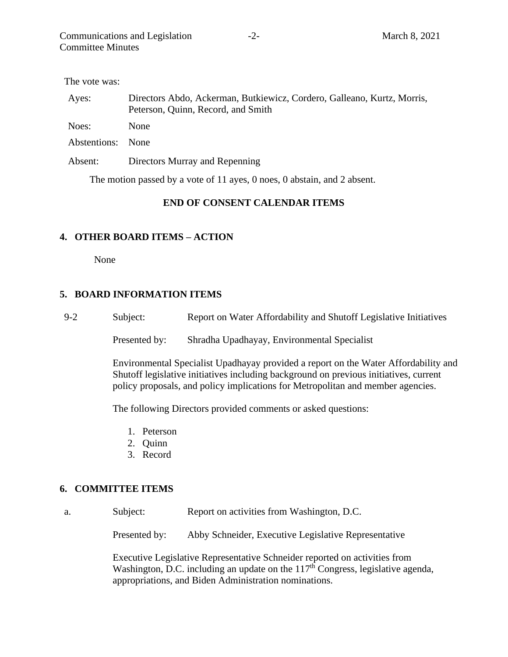| The vote was: |  |
|---------------|--|
|---------------|--|

| Ayes:        | Directors Abdo, Ackerman, Butkiewicz, Cordero, Galleano, Kurtz, Morris,<br>Peterson, Quinn, Record, and Smith |
|--------------|---------------------------------------------------------------------------------------------------------------|
| Noes:        | <b>None</b>                                                                                                   |
| Abstentions: | <b>None</b>                                                                                                   |
| Absent:      | Directors Murray and Repenning                                                                                |

The motion passed by a vote of 11 ayes, 0 noes, 0 abstain, and 2 absent.

### **END OF CONSENT CALENDAR ITEMS**

### **4. OTHER BOARD ITEMS – ACTION**

None

### **5. BOARD INFORMATION ITEMS**

9-2 Subject: Report on Water Affordability and Shutoff Legislative Initiatives

Presented by: Shradha Upadhayay, Environmental Specialist

Environmental Specialist Upadhayay provided a report on the Water Affordability and Shutoff legislative initiatives including background on previous initiatives, current policy proposals, and policy implications for Metropolitan and member agencies.

The following Directors provided comments or asked questions:

- 1. Peterson
- 2. Quinn
- 3. Record

#### **6. COMMITTEE ITEMS**

a. Subject: Report on activities from Washington, D.C.

Presented by: Abby Schneider, Executive Legislative Representative

Executive Legislative Representative Schneider reported on activities from Washington, D.C. including an update on the 117<sup>th</sup> Congress, legislative agenda, appropriations, and Biden Administration nominations.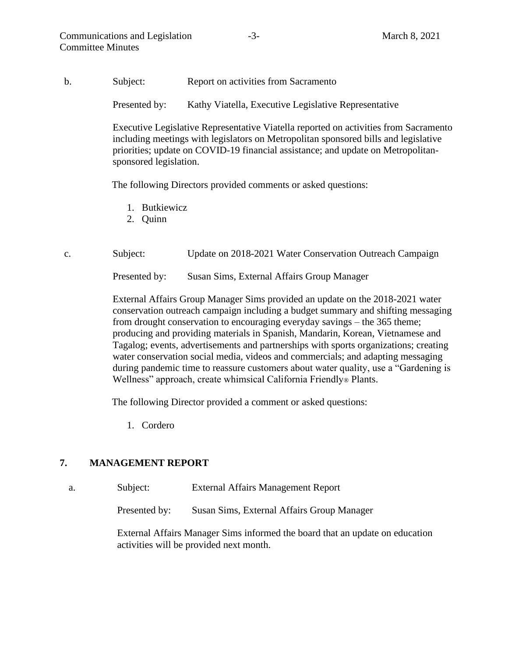b. Subject: Report on activities from Sacramento

Presented by: Kathy Viatella, Executive Legislative Representative

Executive Legislative Representative Viatella reported on activities from Sacramento including meetings with legislators on Metropolitan sponsored bills and legislative priorities; update on COVID-19 financial assistance; and update on Metropolitansponsored legislation.

The following Directors provided comments or asked questions:

- 1. Butkiewicz
- 2. Quinn
- c. Subject: Update on 2018-2021 Water Conservation Outreach Campaign

Presented by: Susan Sims, External Affairs Group Manager

External Affairs Group Manager Sims provided an update on the 2018-2021 water conservation outreach campaign including a budget summary and shifting messaging from drought conservation to encouraging everyday savings – the 365 theme; producing and providing materials in Spanish, Mandarin, Korean, Vietnamese and Tagalog; events, advertisements and partnerships with sports organizations; creating water conservation social media, videos and commercials; and adapting messaging during pandemic time to reassure customers about water quality, use a "Gardening is Wellness" approach, create whimsical California Friendly® Plants.

The following Director provided a comment or asked questions:

1. Cordero

#### **7. MANAGEMENT REPORT**

a. Subject: External Affairs Management Report

Presented by: Susan Sims, External Affairs Group Manager

External Affairs Manager Sims informed the board that an update on education activities will be provided next month.